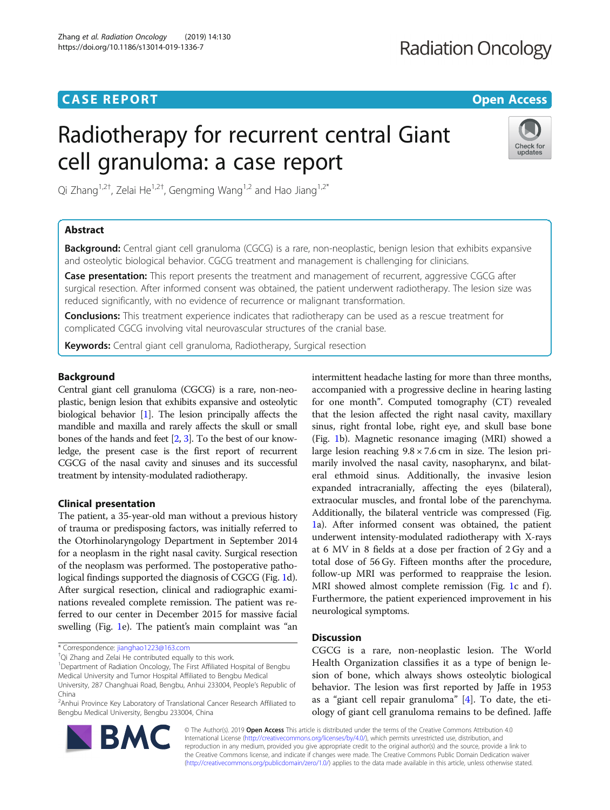# **CASE REPORT CASE REPORT CASE REPORT**

# Radiotherapy for recurrent central Giant cell granuloma: a case report



Qi Zhang<sup>1,2†</sup>, Zelai He<sup>1,2†</sup>, Gengming Wang<sup>1,2</sup> and Hao Jiang<sup>1,2\*</sup>

# Abstract

**Background:** Central giant cell granuloma (CGCG) is a rare, non-neoplastic, benign lesion that exhibits expansive and osteolytic biological behavior. CGCG treatment and management is challenging for clinicians.

Case presentation: This report presents the treatment and management of recurrent, aggressive CGCG after surgical resection. After informed consent was obtained, the patient underwent radiotherapy. The lesion size was reduced significantly, with no evidence of recurrence or malignant transformation.

**Conclusions:** This treatment experience indicates that radiotherapy can be used as a rescue treatment for complicated CGCG involving vital neurovascular structures of the cranial base.

Keywords: Central giant cell granuloma, Radiotherapy, Surgical resection

# Background

Central giant cell granuloma (CGCG) is a rare, non-neoplastic, benign lesion that exhibits expansive and osteolytic biological behavior [\[1\]](#page-3-0). The lesion principally affects the mandible and maxilla and rarely affects the skull or small bones of the hands and feet [\[2,](#page-3-0) [3](#page-3-0)]. To the best of our knowledge, the present case is the first report of recurrent CGCG of the nasal cavity and sinuses and its successful treatment by intensity-modulated radiotherapy.

# Clinical presentation

The patient, a 35-year-old man without a previous history of trauma or predisposing factors, was initially referred to the Otorhinolaryngology Department in September 2014 for a neoplasm in the right nasal cavity. Surgical resection of the neoplasm was performed. The postoperative pathological findings supported the diagnosis of CGCG (Fig. [1](#page-1-0)d). After surgical resection, clinical and radiographic examinations revealed complete remission. The patient was referred to our center in December 2015 for massive facial swelling (Fig. [1](#page-1-0)e). The patient's main complaint was "an

Qi Zhang and Zelai He contributed equally to this work.

Bengbu Medical University, Bengbu 233004, China

BA

intermittent headache lasting for more than three months, accompanied with a progressive decline in hearing lasting for one month". Computed tomography (CT) revealed that the lesion affected the right nasal cavity, maxillary sinus, right frontal lobe, right eye, and skull base bone (Fig. [1b](#page-1-0)). Magnetic resonance imaging (MRI) showed a large lesion reaching  $9.8 \times 7.6$  cm in size. The lesion primarily involved the nasal cavity, nasopharynx, and bilateral ethmoid sinus. Additionally, the invasive lesion expanded intracranially, affecting the eyes (bilateral), extraocular muscles, and frontal lobe of the parenchyma. Additionally, the bilateral ventricle was compressed (Fig. [1a](#page-1-0)). After informed consent was obtained, the patient underwent intensity-modulated radiotherapy with X-rays at 6 MV in 8 fields at a dose per fraction of 2 Gy and a total dose of 56 Gy. Fifteen months after the procedure, follow-up MRI was performed to reappraise the lesion. MRI showed almost complete remission (Fig. [1](#page-1-0)c and f). Furthermore, the patient experienced improvement in his neurological symptoms.

# Discussion

CGCG is a rare, non-neoplastic lesion. The World Health Organization classifies it as a type of benign lesion of bone, which always shows osteolytic biological behavior. The lesion was first reported by Jaffe in 1953 as a "giant cell repair granuloma" [\[4](#page-3-0)]. To date, the etiology of giant cell granuloma remains to be defined. Jaffe

© The Author(s). 2019 Open Access This article is distributed under the terms of the Creative Commons Attribution 4.0 International License [\(http://creativecommons.org/licenses/by/4.0/](http://creativecommons.org/licenses/by/4.0/)), which permits unrestricted use, distribution, and reproduction in any medium, provided you give appropriate credit to the original author(s) and the source, provide a link to the Creative Commons license, and indicate if changes were made. The Creative Commons Public Domain Dedication waiver [\(http://creativecommons.org/publicdomain/zero/1.0/](http://creativecommons.org/publicdomain/zero/1.0/)) applies to the data made available in this article, unless otherwise stated.

<sup>\*</sup> Correspondence: [jianghao1223@163.com](mailto:jianghao1223@163.com) †

<sup>&</sup>lt;sup>1</sup>Department of Radiation Oncology, The First Affiliated Hospital of Bengbu Medical University and Tumor Hospital Affiliated to Bengbu Medical University, 287 Changhuai Road, Bengbu, Anhui 233004, People's Republic of

China <sup>2</sup> Anhui Province Key Laboratory of Translational Cancer Research Affiliated to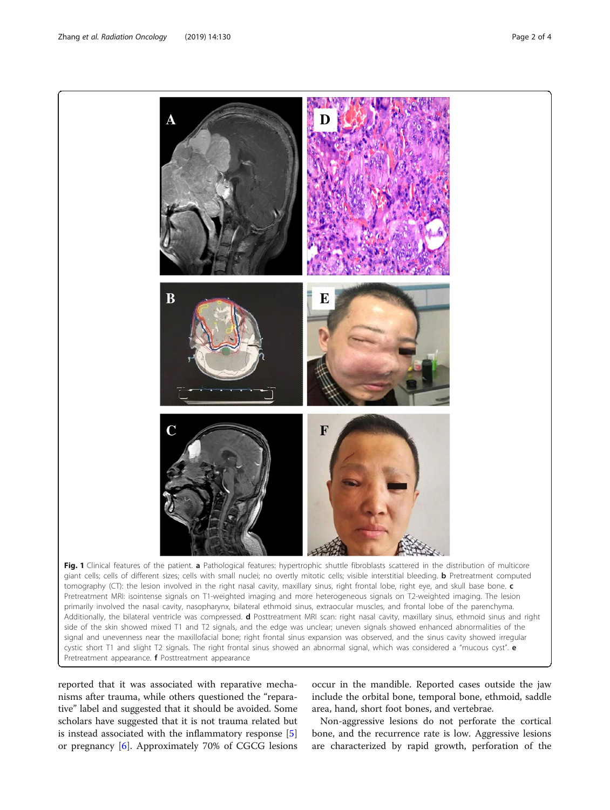<span id="page-1-0"></span>

reported that it was associated with reparative mechanisms after trauma, while others questioned the "reparative" label and suggested that it should be avoided. Some scholars have suggested that it is not trauma related but is instead associated with the inflammatory response [\[5](#page-3-0)] or pregnancy [[6\]](#page-3-0). Approximately 70% of CGCG lesions

occur in the mandible. Reported cases outside the jaw include the orbital bone, temporal bone, ethmoid, saddle area, hand, short foot bones, and vertebrae.

Non-aggressive lesions do not perforate the cortical bone, and the recurrence rate is low. Aggressive lesions are characterized by rapid growth, perforation of the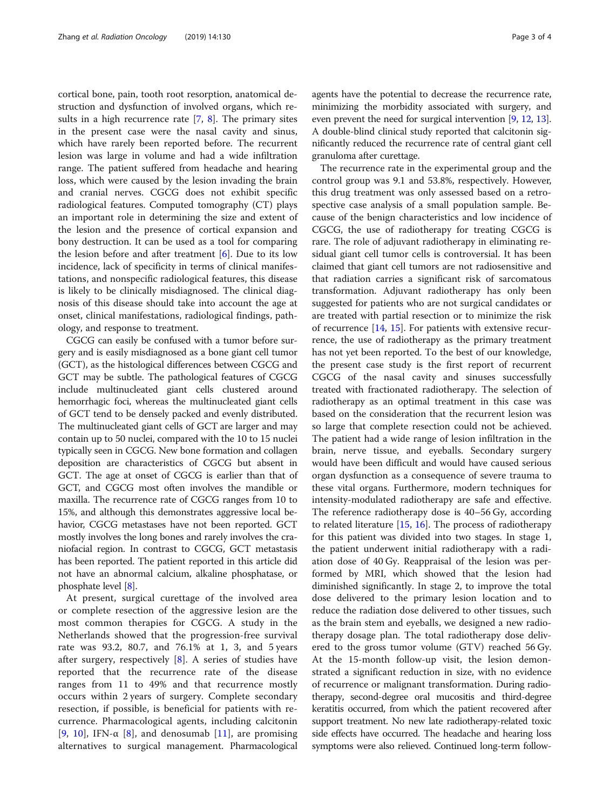cortical bone, pain, tooth root resorption, anatomical destruction and dysfunction of involved organs, which results in a high recurrence rate [[7,](#page-3-0) [8\]](#page-3-0). The primary sites in the present case were the nasal cavity and sinus, which have rarely been reported before. The recurrent lesion was large in volume and had a wide infiltration range. The patient suffered from headache and hearing loss, which were caused by the lesion invading the brain and cranial nerves. CGCG does not exhibit specific radiological features. Computed tomography (CT) plays an important role in determining the size and extent of the lesion and the presence of cortical expansion and bony destruction. It can be used as a tool for comparing the lesion before and after treatment  $[6]$  $[6]$ . Due to its low incidence, lack of specificity in terms of clinical manifestations, and nonspecific radiological features, this disease is likely to be clinically misdiagnosed. The clinical diagnosis of this disease should take into account the age at onset, clinical manifestations, radiological findings, pathology, and response to treatment.

CGCG can easily be confused with a tumor before surgery and is easily misdiagnosed as a bone giant cell tumor (GCT), as the histological differences between CGCG and GCT may be subtle. The pathological features of CGCG include multinucleated giant cells clustered around hemorrhagic foci, whereas the multinucleated giant cells of GCT tend to be densely packed and evenly distributed. The multinucleated giant cells of GCT are larger and may contain up to 50 nuclei, compared with the 10 to 15 nuclei typically seen in CGCG. New bone formation and collagen deposition are characteristics of CGCG but absent in GCT. The age at onset of CGCG is earlier than that of GCT, and CGCG most often involves the mandible or maxilla. The recurrence rate of CGCG ranges from 10 to 15%, and although this demonstrates aggressive local behavior, CGCG metastases have not been reported. GCT mostly involves the long bones and rarely involves the craniofacial region. In contrast to CGCG, GCT metastasis has been reported. The patient reported in this article did not have an abnormal calcium, alkaline phosphatase, or phosphate level [\[8](#page-3-0)].

At present, surgical curettage of the involved area or complete resection of the aggressive lesion are the most common therapies for CGCG. A study in the Netherlands showed that the progression-free survival rate was 93.2, 80.7, and 76.1% at 1, 3, and 5 years after surgery, respectively [[8\]](#page-3-0). A series of studies have reported that the recurrence rate of the disease ranges from 11 to 49% and that recurrence mostly occurs within 2 years of surgery. Complete secondary resection, if possible, is beneficial for patients with recurrence. Pharmacological agents, including calcitonin [[9,](#page-3-0) [10](#page-3-0)], IFN- $\alpha$  [\[8](#page-3-0)], and denosumab [\[11](#page-3-0)], are promising alternatives to surgical management. Pharmacological

agents have the potential to decrease the recurrence rate, minimizing the morbidity associated with surgery, and even prevent the need for surgical intervention [\[9](#page-3-0), [12,](#page-3-0) [13](#page-3-0)]. A double-blind clinical study reported that calcitonin significantly reduced the recurrence rate of central giant cell granuloma after curettage.

The recurrence rate in the experimental group and the control group was 9.1 and 53.8%, respectively. However, this drug treatment was only assessed based on a retrospective case analysis of a small population sample. Because of the benign characteristics and low incidence of CGCG, the use of radiotherapy for treating CGCG is rare. The role of adjuvant radiotherapy in eliminating residual giant cell tumor cells is controversial. It has been claimed that giant cell tumors are not radiosensitive and that radiation carries a significant risk of sarcomatous transformation. Adjuvant radiotherapy has only been suggested for patients who are not surgical candidates or are treated with partial resection or to minimize the risk of recurrence [\[14,](#page-3-0) [15](#page-3-0)]. For patients with extensive recurrence, the use of radiotherapy as the primary treatment has not yet been reported. To the best of our knowledge, the present case study is the first report of recurrent CGCG of the nasal cavity and sinuses successfully treated with fractionated radiotherapy. The selection of radiotherapy as an optimal treatment in this case was based on the consideration that the recurrent lesion was so large that complete resection could not be achieved. The patient had a wide range of lesion infiltration in the brain, nerve tissue, and eyeballs. Secondary surgery would have been difficult and would have caused serious organ dysfunction as a consequence of severe trauma to these vital organs. Furthermore, modern techniques for intensity-modulated radiotherapy are safe and effective. The reference radiotherapy dose is 40–56 Gy, according to related literature  $[15, 16]$  $[15, 16]$  $[15, 16]$  $[15, 16]$ . The process of radiotherapy for this patient was divided into two stages. In stage 1, the patient underwent initial radiotherapy with a radiation dose of 40 Gy. Reappraisal of the lesion was performed by MRI, which showed that the lesion had diminished significantly. In stage 2, to improve the total dose delivered to the primary lesion location and to reduce the radiation dose delivered to other tissues, such as the brain stem and eyeballs, we designed a new radiotherapy dosage plan. The total radiotherapy dose delivered to the gross tumor volume (GTV) reached 56 Gy. At the 15-month follow-up visit, the lesion demonstrated a significant reduction in size, with no evidence of recurrence or malignant transformation. During radiotherapy, second-degree oral mucositis and third-degree keratitis occurred, from which the patient recovered after support treatment. No new late radiotherapy-related toxic side effects have occurred. The headache and hearing loss symptoms were also relieved. Continued long-term follow-